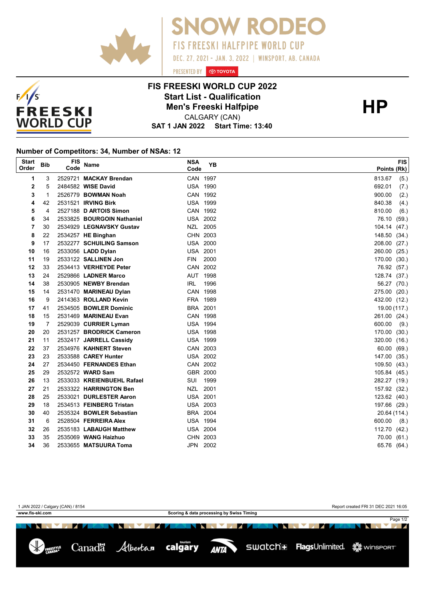



## **FIS FREESKI WORLD CUP 2022 Start List - Qualification HP Men's Freeski Halfpipe**

PRESENTED BY **O TOYOTA** 

OW RODEO

FIS FREESKI HALFPIPE WORLD CUP

DEC. 27, 2021 - JAN. 3, 2022 | WINSPORT, AB. CANADA

**SN** 

**SAT 1 JAN 2022 Start Time: 13:40** CALGARY (CAN)

## **Number of Competitors: 34, Number of NSAs: 12**

| <b>Start</b><br>Order | <b>Bib</b> | <b>FIS</b><br>Code | <b>Name</b>                | <b>NSA</b><br>Code | <b>YB</b> | <b>FIS</b><br>Points (Rk) |
|-----------------------|------------|--------------------|----------------------------|--------------------|-----------|---------------------------|
| 1                     | 3          |                    | 2529721 MACKAY Brendan     | CAN 1997           |           | 813.67<br>(5.)            |
| 2                     | 5          |                    | 2484582 WISE David         | <b>USA 1990</b>    |           | 692.01<br>(7.)            |
| 3                     |            |                    | 2526779 BOWMAN Noah        | CAN 1992           |           | 900.00<br>(2.)            |
| 4                     | 42         |                    | 2531521 IRVING Birk        | <b>USA 1999</b>    |           | 840.38<br>(4.)            |
| 5                     | 4          |                    | 2527188 D ARTOIS Simon     | CAN 1992           |           | 810.00<br>(6.)            |
| 6                     | 34         |                    | 2533825 BOURGOIN Nathaniel | <b>USA 2002</b>    |           | 76.10<br>(59.)            |
| 7                     | 30         |                    | 2534929 LEGNAVSKY Gustav   | NZL                | 2005      | 104.14<br>(47.)           |
| 8                     | 22         |                    | 2534257 HE Binghan         | CHN 2003           |           | 148.50<br>(34.)           |
| 9                     | 17         |                    | 2532277 SCHUILING Samson   | <b>USA 2000</b>    |           | 208.00 (27.)              |
| 10                    | 16         |                    | 2533056 LADD Dylan         | <b>USA 2001</b>    |           | 260.00 (25.)              |
| 11                    | 19         |                    | 2533122 SALLINEN Jon       | <b>FIN</b>         | 2000      | 170.00 (30.)              |
| 12                    | 33         |                    | 2534413 VERHEYDE Peter     | CAN 2002           |           | 76.92 (57.)               |
| 13                    | 24         |                    | 2529866 LADNER Marco       | AUT 1998           |           | 128.74 (37.)              |
| 14                    | 38         |                    | 2530905 NEWBY Brendan      | <b>IRL</b>         | 1996      | 56.27 (70.)               |
| 15                    | 14         |                    | 2531470 MARINEAU Dylan     | CAN 1998           |           | 275.00 (20.)              |
| 16                    | 9          |                    | 2414363 ROLLAND Kevin      | FRA 1989           |           | 432.00 (12.)              |
| 17                    | 41         |                    | 2534505 BOWLER Dominic     | BRA 2001           |           | 19.00 (117.)              |
| 18                    | 15         |                    | 2531469 MARINEAU Evan      | CAN 1998           |           | 261.00 (24.)              |
| 19                    | 7          |                    | 2529039 CURRIER Lyman      | <b>USA 1994</b>    |           | 600.00<br>(9.)            |
| 20                    | 20         |                    | 2531257 BRODRICK Cameron   | <b>USA 1998</b>    |           | 170.00<br>(30.)           |
| 21                    | 11         |                    | 2532417 JARRELL Cassidy    | <b>USA 1999</b>    |           | 320.00<br>(16.)           |
| 22                    | 37         |                    | 2534976 KAHNERT Steven     | CAN 2003           |           | 60.00 (69.)               |
| 23                    | 23         |                    | 2533588 CAREY Hunter       | <b>USA 2002</b>    |           | 147.00 (35.)              |
| 24                    | 27         |                    | 2534450 FERNANDES Ethan    | CAN 2002           |           | 109.50 (43.)              |
| 25                    | 29         |                    | 2532572 WARD Sam           | GBR 2000           |           | 105.84 (45.)              |
| 26                    | 13         |                    | 2533033 KREIENBUEHL Rafael | SUI                | 1999      | 282.27 (19.)              |
| 27                    | 21         |                    | 2533322 HARRINGTON Ben     | NZL                | 2001      | 157.92 (32.)              |
| 28                    | 25         |                    | 2533021 DURLESTER Aaron    | USA 2001           |           | 123.62 (40.)              |
| 29                    | 18         |                    | 2534513 FEINBERG Tristan   | <b>USA 2003</b>    |           | 197.66 (29.)              |
| 30                    | 40         |                    | 2535324 BOWLER Sebastian   | BRA 2004           |           | 20.64 (114.)              |
| 31                    | 6          |                    | 2528504 FERREIRA Alex      | <b>USA 1994</b>    |           | 600.00<br>(8.)            |
| 32                    | 26         |                    | 2535183 LABAUGH Matthew    | <b>USA 2004</b>    |           | 112.70 (42.)              |
| 33                    | 35         |                    | 2535069 WANG Haizhuo       | CHN 2003           |           | 70.00 (61.)               |
| 34                    | 36         |                    | 2533655 MATSUURA Toma      | <b>JPN</b>         | 2002      | 65.76 (64.)               |